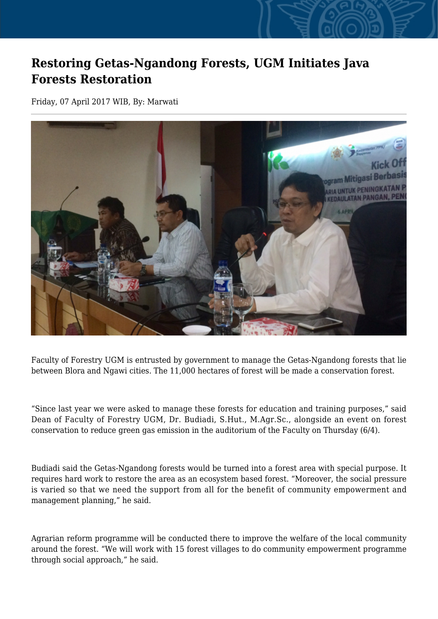## **Restoring Getas-Ngandong Forests, UGM Initiates Java Forests Restoration**

Friday, 07 April 2017 WIB, By: Marwati



Faculty of Forestry UGM is entrusted by government to manage the Getas-Ngandong forests that lie between Blora and Ngawi cities. The 11,000 hectares of forest will be made a conservation forest.

"Since last year we were asked to manage these forests for education and training purposes," said Dean of Faculty of Forestry UGM, Dr. Budiadi, S.Hut., M.Agr.Sc., alongside an event on forest conservation to reduce green gas emission in the auditorium of the Faculty on Thursday (6/4).

Budiadi said the Getas-Ngandong forests would be turned into a forest area with special purpose. It requires hard work to restore the area as an ecosystem based forest. "Moreover, the social pressure is varied so that we need the support from all for the benefit of community empowerment and management planning," he said.

Agrarian reform programme will be conducted there to improve the welfare of the local community around the forest. "We will work with 15 forest villages to do community empowerment programme through social approach," he said.